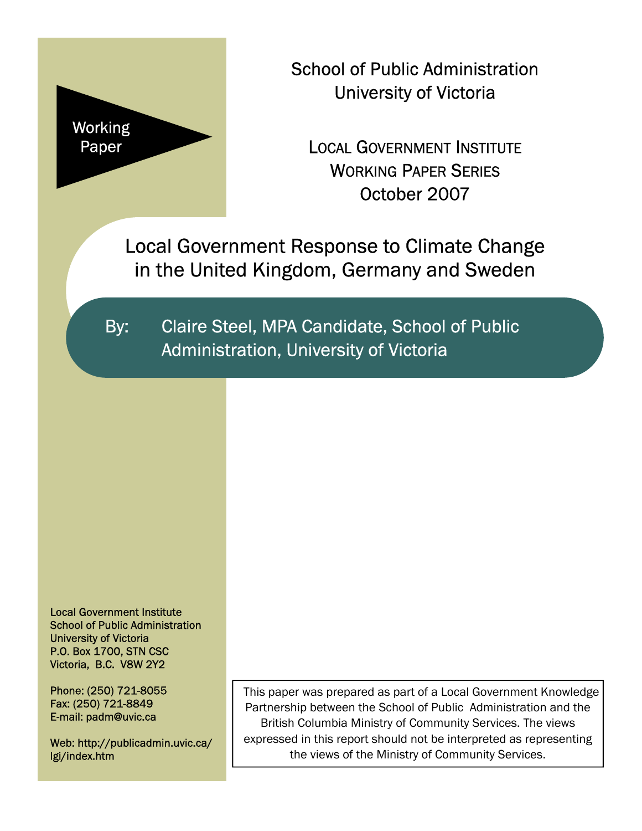

School of Public Administration University of Victoria

LOCAL GOVERNMENT INSTITUTE WORKING PAPER SERIES October 2007

Local Government Response to Climate Change in the United Kingdom, Germany and Sweden

By: Claire Steel, MPA Candidate, School of Public Administration, University of Victoria

Local Government Institute School of Public Administration University of Victoria P.O. Box 1700, STN CSC Victoria, B.C. V8W 2Y2

Phone: (250) 721-8055 Fax: (250) 721-8849 E-mail: padm@uvic.ca

Web: http://publicadmin.uvic.ca/ lgi/index.htm

This paper was prepared as part of a Local Government Knowledge Partnership between the School of Public Administration and the British Columbia Ministry of Community Services. The views expressed in this report should not be interpreted as representing the views of the Ministry of Community Services.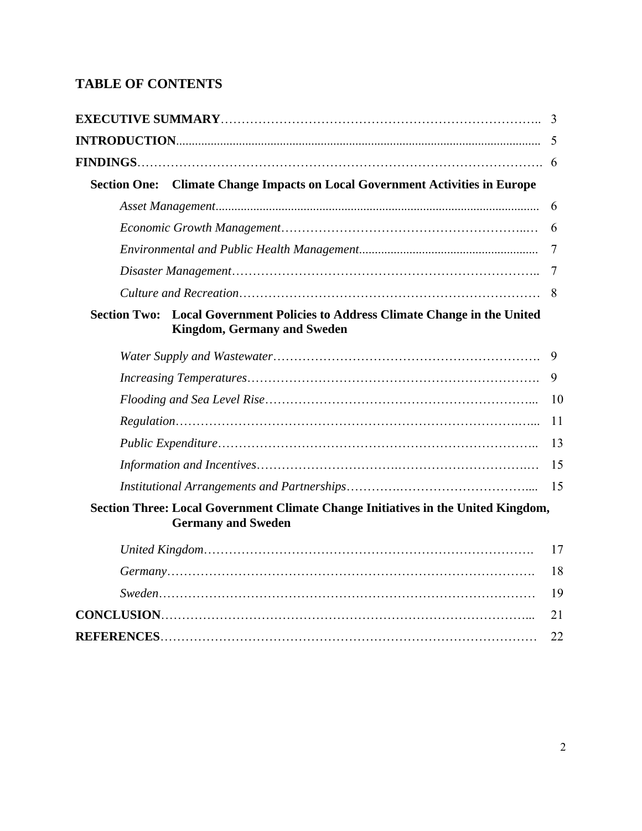# **TABLE OF CONTENTS**

|                     |                                                                                                                | <b>Section One:</b> |
|---------------------|----------------------------------------------------------------------------------------------------------------|---------------------|
|                     |                                                                                                                | 6                   |
|                     |                                                                                                                | 6                   |
|                     |                                                                                                                | 7                   |
|                     |                                                                                                                |                     |
|                     |                                                                                                                |                     |
| <b>Section Two:</b> | <b>Local Government Policies to Address Climate Change in the United</b><br><b>Kingdom, Germany and Sweden</b> |                     |
|                     |                                                                                                                | 9                   |
|                     |                                                                                                                | 9                   |
|                     |                                                                                                                | 10                  |
|                     |                                                                                                                | 11                  |
|                     |                                                                                                                | 13                  |
|                     |                                                                                                                | 15                  |
|                     |                                                                                                                | 15                  |
|                     | Section Three: Local Government Climate Change Initiatives in the United Kingdom,<br><b>Germany and Sweden</b> |                     |
|                     |                                                                                                                | 17                  |
|                     |                                                                                                                | 18                  |
|                     |                                                                                                                | 19                  |
|                     |                                                                                                                | 21                  |
|                     |                                                                                                                | 22                  |
|                     |                                                                                                                |                     |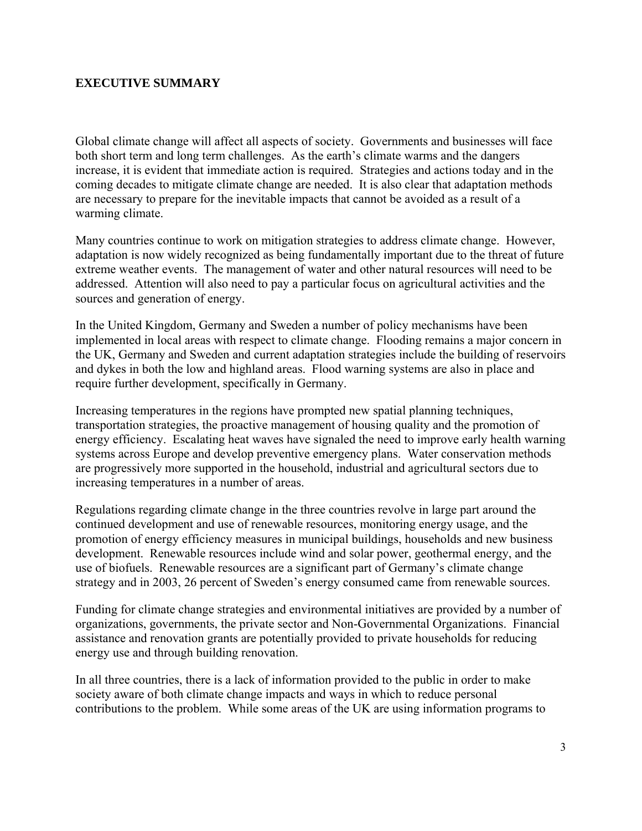### **EXECUTIVE SUMMARY**

Global climate change will affect all aspects of society. Governments and businesses will face both short term and long term challenges. As the earth's climate warms and the dangers increase, it is evident that immediate action is required. Strategies and actions today and in the coming decades to mitigate climate change are needed. It is also clear that adaptation methods are necessary to prepare for the inevitable impacts that cannot be avoided as a result of a warming climate.

Many countries continue to work on mitigation strategies to address climate change. However, adaptation is now widely recognized as being fundamentally important due to the threat of future extreme weather events. The management of water and other natural resources will need to be addressed. Attention will also need to pay a particular focus on agricultural activities and the sources and generation of energy.

In the United Kingdom, Germany and Sweden a number of policy mechanisms have been implemented in local areas with respect to climate change. Flooding remains a major concern in the UK, Germany and Sweden and current adaptation strategies include the building of reservoirs and dykes in both the low and highland areas. Flood warning systems are also in place and require further development, specifically in Germany.

Increasing temperatures in the regions have prompted new spatial planning techniques, transportation strategies, the proactive management of housing quality and the promotion of energy efficiency. Escalating heat waves have signaled the need to improve early health warning systems across Europe and develop preventive emergency plans. Water conservation methods are progressively more supported in the household, industrial and agricultural sectors due to increasing temperatures in a number of areas.

Regulations regarding climate change in the three countries revolve in large part around the continued development and use of renewable resources, monitoring energy usage, and the promotion of energy efficiency measures in municipal buildings, households and new business development. Renewable resources include wind and solar power, geothermal energy, and the use of biofuels. Renewable resources are a significant part of Germany's climate change strategy and in 2003, 26 percent of Sweden's energy consumed came from renewable sources.

Funding for climate change strategies and environmental initiatives are provided by a number of organizations, governments, the private sector and Non-Governmental Organizations. Financial assistance and renovation grants are potentially provided to private households for reducing energy use and through building renovation.

In all three countries, there is a lack of information provided to the public in order to make society aware of both climate change impacts and ways in which to reduce personal contributions to the problem. While some areas of the UK are using information programs to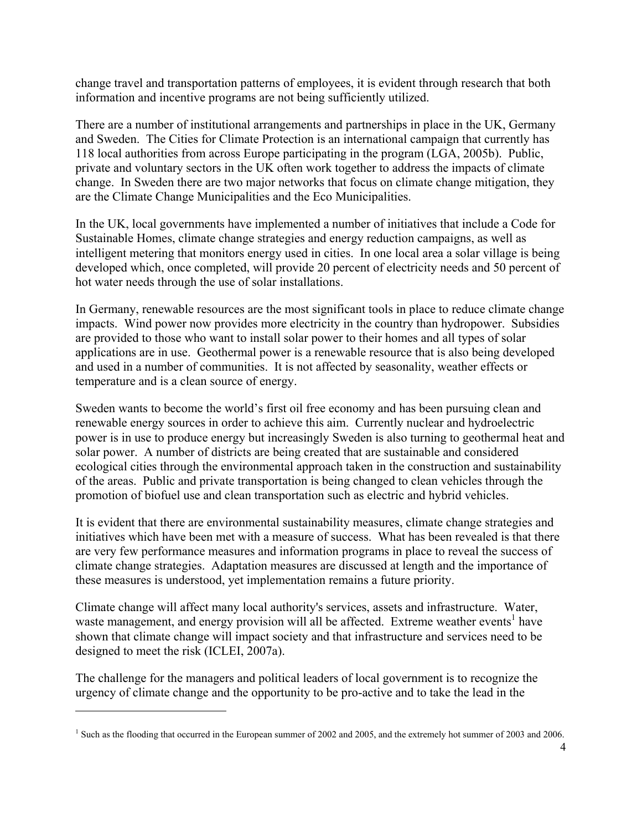change travel and transportation patterns of employees, it is evident through research that both information and incentive programs are not being sufficiently utilized.

There are a number of institutional arrangements and partnerships in place in the UK, Germany and Sweden. The Cities for Climate Protection is an international campaign that currently has 118 local authorities from across Europe participating in the program (LGA, 2005b). Public, private and voluntary sectors in the UK often work together to address the impacts of climate change. In Sweden there are two major networks that focus on climate change mitigation, they are the Climate Change Municipalities and the Eco Municipalities.

In the UK, local governments have implemented a number of initiatives that include a Code for Sustainable Homes, climate change strategies and energy reduction campaigns, as well as intelligent metering that monitors energy used in cities. In one local area a solar village is being developed which, once completed, will provide 20 percent of electricity needs and 50 percent of hot water needs through the use of solar installations.

In Germany, renewable resources are the most significant tools in place to reduce climate change impacts. Wind power now provides more electricity in the country than hydropower. Subsidies are provided to those who want to install solar power to their homes and all types of solar applications are in use. Geothermal power is a renewable resource that is also being developed and used in a number of communities. It is not affected by seasonality, weather effects or temperature and is a clean source of energy.

Sweden wants to become the world's first oil free economy and has been pursuing clean and renewable energy sources in order to achieve this aim. Currently nuclear and hydroelectric power is in use to produce energy but increasingly Sweden is also turning to geothermal heat and solar power. A number of districts are being created that are sustainable and considered ecological cities through the environmental approach taken in the construction and sustainability of the areas. Public and private transportation is being changed to clean vehicles through the promotion of biofuel use and clean transportation such as electric and hybrid vehicles.

It is evident that there are environmental sustainability measures, climate change strategies and initiatives which have been met with a measure of success. What has been revealed is that there are very few performance measures and information programs in place to reveal the success of climate change strategies. Adaptation measures are discussed at length and the importance of these measures is understood, yet implementation remains a future priority.

Climate change will affect many local authority's services, assets and infrastructure. Water, waste management, and energy provision will all be affected. Extreme weather events<sup>[1](#page-3-0)</sup> have shown that climate change will impact society and that infrastructure and services need to be designed to meet the risk (ICLEI, 2007a).

The challenge for the managers and political leaders of local government is to recognize the urgency of climate change and the opportunity to be pro-active and to take the lead in the

<span id="page-3-0"></span><sup>&</sup>lt;sup>1</sup> Such as the flooding that occurred in the European summer of 2002 and 2005, and the extremely hot summer of 2003 and 2006.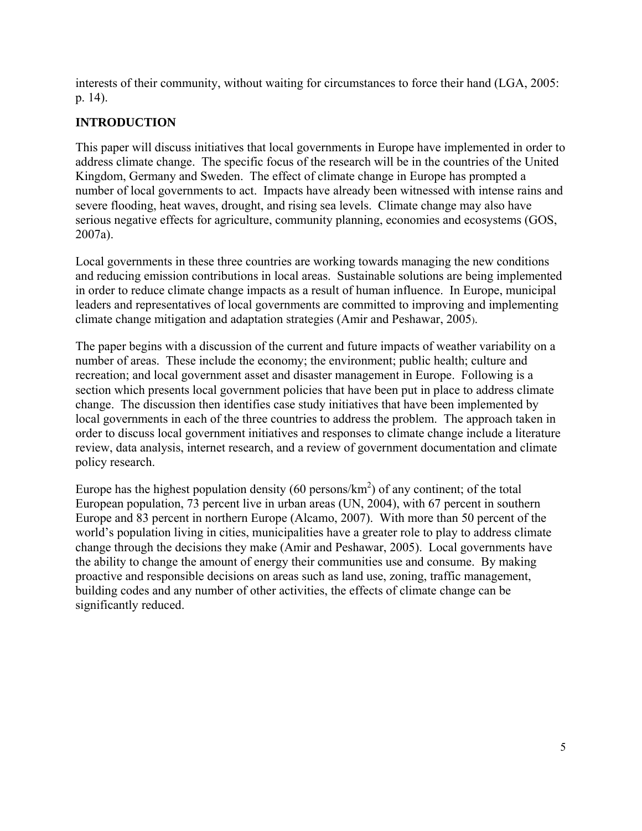interests of their community, without waiting for circumstances to force their hand (LGA, 2005: p. 14).

# **INTRODUCTION**

This paper will discuss initiatives that local governments in Europe have implemented in order to address climate change. The specific focus of the research will be in the countries of the United Kingdom, Germany and Sweden. The effect of climate change in Europe has prompted a number of local governments to act. Impacts have already been witnessed with intense rains and severe flooding, heat waves, drought, and rising sea levels. Climate change may also have serious negative effects for agriculture, community planning, economies and ecosystems (GOS, 2007a).

Local governments in these three countries are working towards managing the new conditions and reducing emission contributions in local areas. Sustainable solutions are being implemented in order to reduce climate change impacts as a result of human influence. In Europe, municipal leaders and representatives of local governments are committed to improving and implementing climate change mitigation and adaptation strategies (Amir and Peshawar, 2005).

The paper begins with a discussion of the current and future impacts of weather variability on a number of areas. These include the economy; the environment; public health; culture and recreation; and local government asset and disaster management in Europe. Following is a section which presents local government policies that have been put in place to address climate change. The discussion then identifies case study initiatives that have been implemented by local governments in each of the three countries to address the problem. The approach taken in order to discuss local government initiatives and responses to climate change include a literature review, data analysis, internet research, and a review of government documentation and climate policy research.

Europe has the highest population density (60 persons/ $km<sup>2</sup>$ ) of any continent; of the total European population, 73 percent live in urban areas (UN, 2004), with 67 percent in southern Europe and 83 percent in northern Europe (Alcamo, 2007). With more than 50 percent of the world's population living in cities, municipalities have a greater role to play to address climate change through the decisions they make (Amir and Peshawar, 2005). Local governments have the ability to change the amount of energy their communities use and consume. By making proactive and responsible decisions on areas such as land use, zoning, traffic management, building codes and any number of other activities, the effects of climate change can be significantly reduced.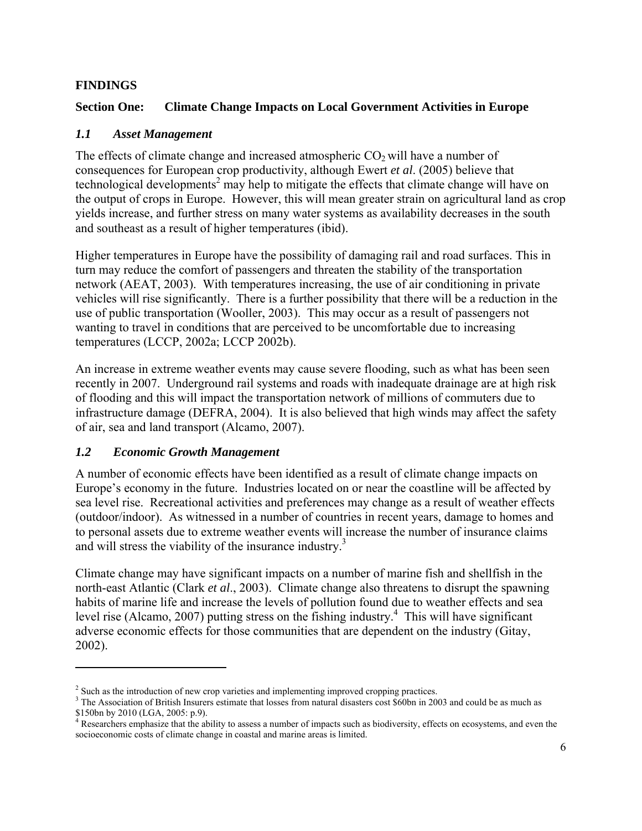#### **FINDINGS**

### **Section One: Climate Change Impacts on Local Government Activities in Europe**

# *1.1 Asset Management*

The effects of climate change and increased atmospheric  $CO<sub>2</sub>$  will have a number of consequences for European crop productivity, although Ewert *et al*. (2005) believe that  $technological developments<sup>2</sup>$  may help to mitigate the effects that climate change will have on the output of crops in Europe. However, this will mean greater strain on agricultural land as crop yields increase, and further stress on many water systems as availability decreases in the south and southeast as a result of higher temperatures (ibid).

Higher temperatures in Europe have the possibility of damaging rail and road surfaces. This in turn may reduce the comfort of passengers and threaten the stability of the transportation network (AEAT, 2003). With temperatures increasing, the use of air conditioning in private vehicles will rise significantly. There is a further possibility that there will be a reduction in the use of public transportation (Wooller, 2003). This may occur as a result of passengers not wanting to travel in conditions that are perceived to be uncomfortable due to increasing temperatures (LCCP, 2002a; LCCP 2002b).

An increase in extreme weather events may cause severe flooding, such as what has been seen recently in 2007. Underground rail systems and roads with inadequate drainage are at high risk of flooding and this will impact the transportation network of millions of commuters due to infrastructure damage (DEFRA, 2004). It is also believed that high winds may affect the safety of air, sea and land transport (Alcamo, 2007).

# *1.2 Economic Growth Management*

A number of economic effects have been identified as a result of climate change impacts on Europe's economy in the future. Industries located on or near the coastline will be affected by sea level rise. Recreational activities and preferences may change as a result of weather effects (outdoor/indoor). As witnessed in a number of countries in recent years, damage to homes and to personal assets due to extreme weather events will increase the number of insurance claims and will stress the viability of the insurance industry.<sup>3</sup>

Climate change may have significant impacts on a number of marine fish and shellfish in the north-east Atlantic (Clark *et al*., 2003). Climate change also threatens to disrupt the spawning habits of marine life and increase the levels of pollution found due to weather effects and sea level rise (Alcamo, 2007) putting stress on the fishing industry.<sup>4</sup> This will have significant adverse economic effects for those communities that are depen[de](#page-5-2)nt on the industry (Gitay, 2002).

<span id="page-5-0"></span><sup>&</sup>lt;sup>2</sup> Such as the introduction of new crop varieties and implementing improved cropping practices.<br><sup>3</sup> The Association of Pritish Insurary estimate that losses from natural disectors east \$60hm in 200

<span id="page-5-1"></span><sup>&</sup>lt;sup>3</sup> The Association of British Insurers estimate that losses from natural disasters cost \$60bn in 2003 and could be as much as

<span id="page-5-2"></span><sup>\$150</sup>bn by 2010 (LGA, 2005: p.9).<br><sup>4</sup> Researchers emphasize that the ability to assess a number of impacts such as biodiversity, effects on ecosystems, and even the socioeconomic costs of climate change in coastal and marine areas is limited.